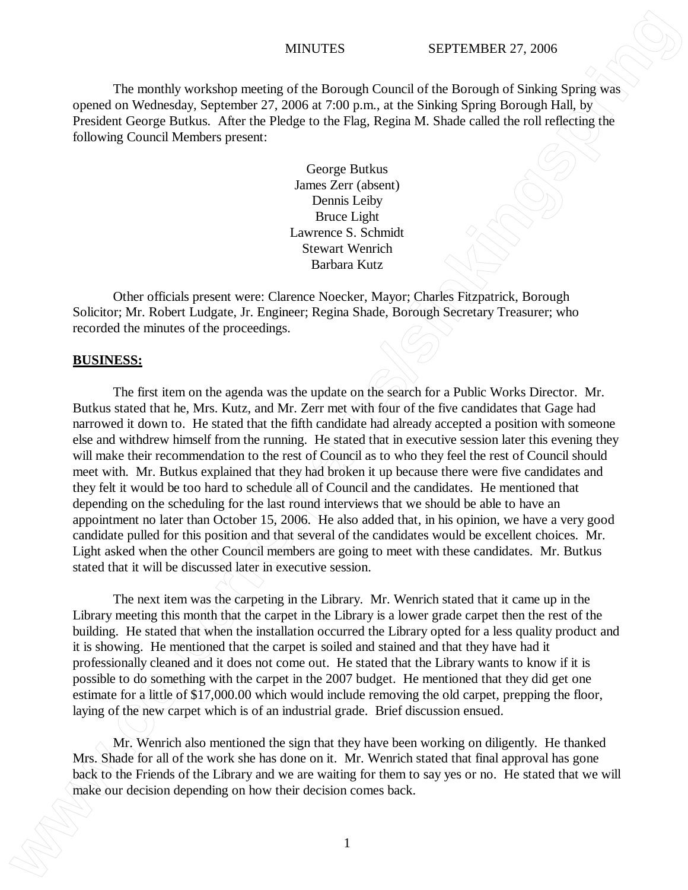### MINUTES SEPTEMBER 27, 2006

The monthly workshop meeting of the Borough Council of the Borough of Sinking Spring was opened on Wednesday, September 27, 2006 at 7:00 p.m., at the Sinking Spring Borough Hall, by President George Butkus. After the Pledge to the Flag, Regina M. Shade called the roll reflecting the following Council Members present:

> George Butkus James Zerr (absent) Dennis Leiby Bruce Light Lawrence S. Schmidt Stewart Wenrich Barbara Kutz

Other officials present were: Clarence Noecker, Mayor; Charles Fitzpatrick, Borough Solicitor; Mr. Robert Ludgate, Jr. Engineer; Regina Shade, Borough Secretary Treasurer; who recorded the minutes of the proceedings.

## **BUSINESS:**

The first item on the agenda was the update on the search for a Public Works Director. Mr. Butkus stated that he, Mrs. Kutz, and Mr. Zerr met with four of the five candidates that Gage had narrowed it down to. He stated that the fifth candidate had already accepted a position with someone else and withdrew himself from the running. He stated that in executive session later this evening they will make their recommendation to the rest of Council as to who they feel the rest of Council should meet with. Mr. Butkus explained that they had broken it up because there were five candidates and they felt it would be too hard to schedule all of Council and the candidates. He mentioned that depending on the scheduling for the last round interviews that we should be able to have an appointment no later than October 15, 2006. He also added that, in his opinion, we have a very good candidate pulled for this position and that several of the candidates would be excellent choices. Mr. Light asked when the other Council members are going to meet with these candidates. Mr. Butkus stated that it will be discussed later in executive session. **MINITES** SEPTEMBER 27, 2006<br>
The meanlify workshoat measure of the Documpa Courcel of the Resourcel of the Resourcel of National Spring was<br>
Operator Weights (Supplement 27, 2006) and 3.6 100 Sinking Spring Brownaph Infi

The next item was the carpeting in the Library. Mr. Wenrich stated that it came up in the Library meeting this month that the carpet in the Library is a lower grade carpet then the rest of the building. He stated that when the installation occurred the Library opted for a less quality product and it is showing. He mentioned that the carpet is soiled and stained and that they have had it professionally cleaned and it does not come out. He stated that the Library wants to know if it is possible to do something with the carpet in the 2007 budget. He mentioned that they did get one estimate for a little of \$17,000.00 which would include removing the old carpet, prepping the floor, laying of the new carpet which is of an industrial grade. Brief discussion ensued.

Mr. Wenrich also mentioned the sign that they have been working on diligently. He thanked Mrs. Shade for all of the work she has done on it. Mr. Wenrich stated that final approval has gone back to the Friends of the Library and we are waiting for them to say yes or no. He stated that we will

1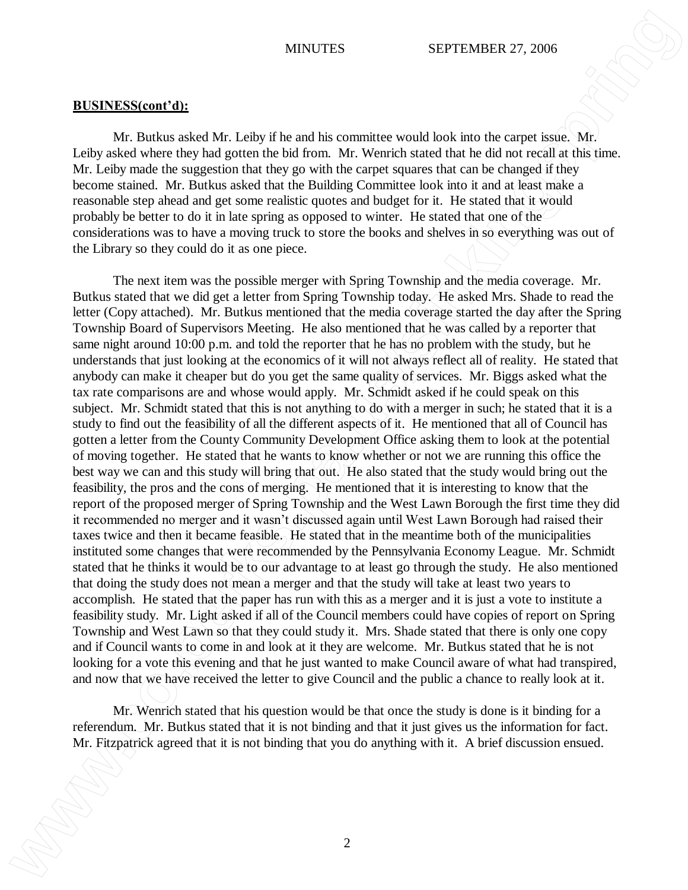Mr. Butkus asked Mr. Leiby if he and his committee would look into the carpet issue. Mr. Leiby asked where they had gotten the bid from. Mr. Wenrich stated that he did not recall at this time. Mr. Leiby made the suggestion that they go with the carpet squares that can be changed if they become stained. Mr. Butkus asked that the Building Committee look into it and at least make a reasonable step ahead and get some realistic quotes and budget for it. He stated that it would probably be better to do it in late spring as opposed to winter. He stated that one of the considerations was to have a moving truck to store the books and shelves in so everything was out of the Library so they could do it as one piece.

The next item was the possible merger with Spring Township and the media coverage. Mr. Butkus stated that we did get a letter from Spring Township today. He asked Mrs. Shade to read the letter (Copy attached). Mr. Butkus mentioned that the media coverage started the day after the Spring Township Board of Supervisors Meeting. He also mentioned that he was called by a reporter that same night around 10:00 p.m. and told the reporter that he has no problem with the study, but he understands that just looking at the economics of it will not always reflect all of reality. He stated that anybody can make it cheaper but do you get the same quality of services. Mr. Biggs asked what the tax rate comparisons are and whose would apply. Mr. Schmidt asked if he could speak on this subject. Mr. Schmidt stated that this is not anything to do with a merger in such; he stated that it is a study to find out the feasibility of all the different aspects of it. He mentioned that all of Council has gotten a letter from the County Community Development Office asking them to look at the potential of moving together. He stated that he wants to know whether or not we are running this office the best way we can and this study will bring that out. He also stated that the study would bring out the feasibility, the pros and the cons of merging. He mentioned that it is interesting to know that the report of the proposed merger of Spring Township and the West Lawn Borough the first time they did it recommended no merger and it wasn't discussed again until West Lawn Borough had raised their taxes twice and then it became feasible. He stated that in the meantime both of the municipalities instituted some changes that were recommended by the Pennsylvania Economy League. Mr. Schmidt stated that he thinks it would be to our advantage to at least go through the study. He also mentioned that doing the study does not mean a merger and that the study will take at least two years to accomplish. He stated that the paper has run with this as a merger and it is just a vote to institute a feasibility study. Mr. Light asked if all of the Council members could have copies of report on Spring Township and West Lawn so that they could study it. Mrs. Shade stated that there is only one copy and if Council wants to come in and look at it they are welcome. Mr. Butkus stated that he is not looking for a vote this evening and that he just wanted to make Council aware of what had transpired, and now that we have received the letter to give Council and the public a chance to really look at it. MYSUTE6 SF S. The Fitspatrick and the state of the state of the state of the state of the state of the state of the state of the state of the state of the state of the state of the state of the state of the state of the s

Mr. Wenrich stated that his question would be that once the study is done is it binding for a referendum. Mr. Butkus stated that it is not binding and that it just gives us the information for fact.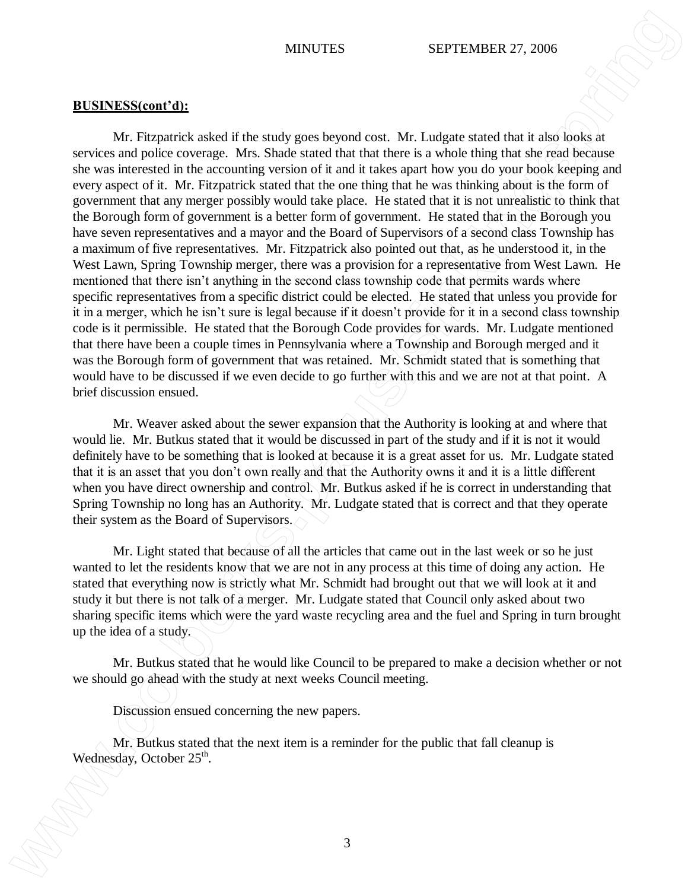Mr. Fitzpatrick asked if the study goes beyond cost. Mr. Ludgate stated that it also looks at services and police coverage. Mrs. Shade stated that that there is a whole thing that she read because she was interested in the accounting version of it and it takes apart how you do your book keeping and every aspect of it. Mr. Fitzpatrick stated that the one thing that he was thinking about is the form of government that any merger possibly would take place. He stated that it is not unrealistic to think that the Borough form of government is a better form of government. He stated that in the Borough you have seven representatives and a mayor and the Board of Supervisors of a second class Township has a maximum of five representatives. Mr. Fitzpatrick also pointed out that, as he understood it, in the West Lawn, Spring Township merger, there was a provision for a representative from West Lawn. He mentioned that there isn't anything in the second class township code that permits wards where specific representatives from a specific district could be elected. He stated that unless you provide for it in a merger, which he isn't sure is legal because if it doesn't provide for it in a second class township code is it permissible. He stated that the Borough Code provides for wards. Mr. Ludgate mentioned that there have been a couple times in Pennsylvania where a Township and Borough merged and it was the Borough form of government that was retained. Mr. Schmidt stated that is something that would have to be discussed if we even decide to go further with this and we are not at that point. A brief discussion ensued. **MINITES WE ARRELIG CONSULTERENTS WE ARRELAGE SET ASSOCIATE SET AND A CONSULTERENTS AND A CONSULTERENTS AND A CONSULTER CONSULTER (WE ARRENAL SET AND A CONSULTER CONSULTER THE MANAGEMENT CONSULTER (WE ARRENAL SET A CO** 

Mr. Weaver asked about the sewer expansion that the Authority is looking at and where that would lie. Mr. Butkus stated that it would be discussed in part of the study and if it is not it would definitely have to be something that is looked at because it is a great asset for us. Mr. Ludgate stated that it is an asset that you don't own really and that the Authority owns it and it is a little different when you have direct ownership and control. Mr. Butkus asked if he is correct in understanding that Spring Township no long has an Authority. Mr. Ludgate stated that is correct and that they operate their system as the Board of Supervisors.

Mr. Light stated that because of all the articles that came out in the last week or so he just wanted to let the residents know that we are not in any process at this time of doing any action. He stated that everything now is strictly what Mr. Schmidt had brought out that we will look at it and study it but there is not talk of a merger. Mr. Ludgate stated that Council only asked about two sharing specific items which were the yard waste recycling area and the fuel and Spring in turn brought up the idea of a study.

Mr. Butkus stated that he would like Council to be prepared to make a decision whether or not we should go ahead with the study at next weeks Council meeting.

Discussion ensued concerning the new papers.

Mr. Butkus stated that the next item is a reminder for the public that fall cleanup is Wednesday, October 25<sup>th</sup>.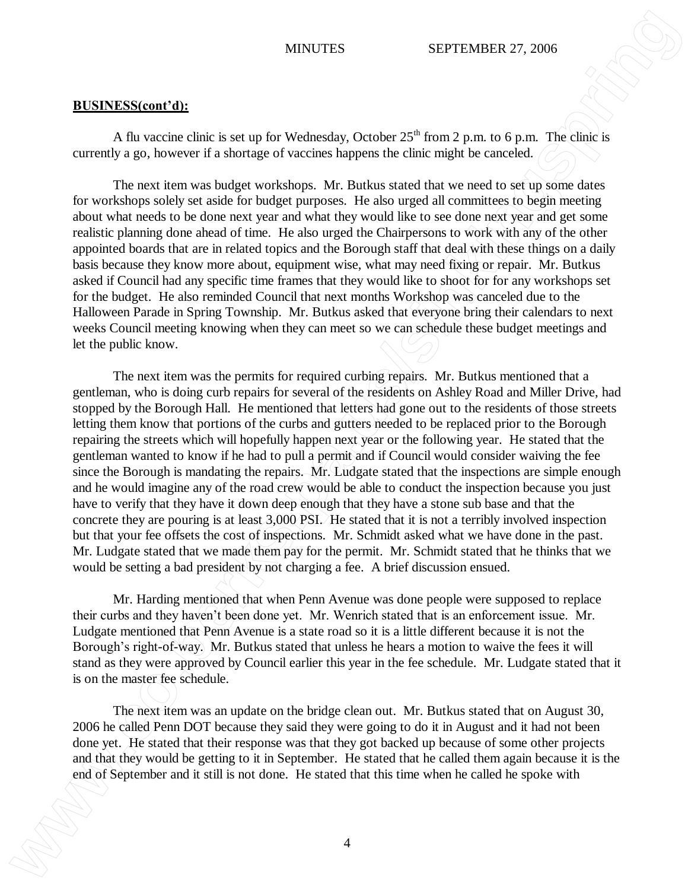A flu vaccine clinic is set up for Wednesday, October  $25<sup>th</sup>$  from 2 p.m. to 6 p.m. The clinic is currently a go, however if a shortage of vaccines happens the clinic might be canceled.

The next item was budget workshops. Mr. Butkus stated that we need to set up some dates for workshops solely set aside for budget purposes. He also urged all committees to begin meeting about what needs to be done next year and what they would like to see done next year and get some realistic planning done ahead of time. He also urged the Chairpersons to work with any of the other appointed boards that are in related topics and the Borough staff that deal with these things on a daily basis because they know more about, equipment wise, what may need fixing or repair. Mr. Butkus asked if Council had any specific time frames that they would like to shoot for for any workshops set for the budget. He also reminded Council that next months Workshop was canceled due to the Halloween Parade in Spring Township. Mr. Butkus asked that everyone bring their calendars to next weeks Council meeting knowing when they can meet so we can schedule these budget meetings and let the public know.

The next item was the permits for required curbing repairs. Mr. Butkus mentioned that a gentleman, who is doing curb repairs for several of the residents on Ashley Road and Miller Drive, had stopped by the Borough Hall. He mentioned that letters had gone out to the residents of those streets letting them know that portions of the curbs and gutters needed to be replaced prior to the Borough repairing the streets which will hopefully happen next year or the following year. He stated that the gentleman wanted to know if he had to pull a permit and if Council would consider waiving the fee since the Borough is mandating the repairs. Mr. Ludgate stated that the inspections are simple enough and he would imagine any of the road crew would be able to conduct the inspection because you just have to verify that they have it down deep enough that they have a stone sub base and that the concrete they are pouring is at least 3,000 PSI. He stated that it is not a terribly involved inspection but that your fee offsets the cost of inspections. Mr. Schmidt asked what we have done in the past. Mr. Ludgate stated that we made them pay for the permit. Mr. Schmidt stated that he thinks that we would be setting a bad president by not charging a fee. A brief discussion ensued. **ENEXTS SEPTEN SEPTEN OF A CONFIRMATIVE CONSULTER SECTION AND MATTENT CONFIRMATIVE CONFIRMATIVE CONFIRMATIVE CONFIRMATIVE CONFIRMATIVE CONFIRMATIVE CONFIRMATIVE CONFIRMATIVE CONFIRMATIVE CONFIRMATIVE CONFIRMATIVE CONFIRMA** 

Mr. Harding mentioned that when Penn Avenue was done people were supposed to replace their curbs and they haven't been done yet. Mr. Wenrich stated that is an enforcement issue. Mr. Ludgate mentioned that Penn Avenue is a state road so it is a little different because it is not the Borough's right-of-way. Mr. Butkus stated that unless he hears a motion to waive the fees it will stand as they were approved by Council earlier this year in the fee schedule. Mr. Ludgate stated that it is on the master fee schedule.

The next item was an update on the bridge clean out. Mr. Butkus stated that on August 30, 2006 he called Penn DOT because they said they were going to do it in August and it had not been done yet. He stated that their response was that they got backed up because of some other projects and that they would be getting to it in September. He stated that he called them again because it is the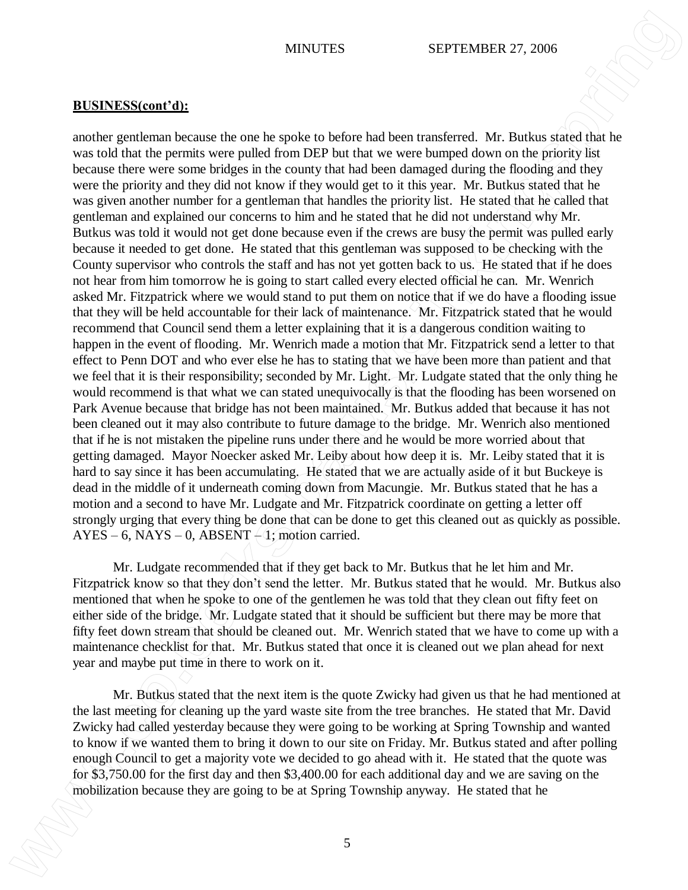another gentleman because the one he spoke to before had been transferred. Mr. Butkus stated that he was told that the permits were pulled from DEP but that we were bumped down on the priority list because there were some bridges in the county that had been damaged during the flooding and they were the priority and they did not know if they would get to it this year. Mr. Butkus stated that he was given another number for a gentleman that handles the priority list. He stated that he called that gentleman and explained our concerns to him and he stated that he did not understand why Mr. Butkus was told it would not get done because even if the crews are busy the permit was pulled early because it needed to get done. He stated that this gentleman was supposed to be checking with the County supervisor who controls the staff and has not yet gotten back to us. He stated that if he does not hear from him tomorrow he is going to start called every elected official he can. Mr. Wenrich asked Mr. Fitzpatrick where we would stand to put them on notice that if we do have a flooding issue that they will be held accountable for their lack of maintenance. Mr. Fitzpatrick stated that he would recommend that Council send them a letter explaining that it is a dangerous condition waiting to happen in the event of flooding. Mr. Wenrich made a motion that Mr. Fitzpatrick send a letter to that effect to Penn DOT and who ever else he has to stating that we have been more than patient and that we feel that it is their responsibility; seconded by Mr. Light. Mr. Ludgate stated that the only thing he would recommend is that what we can stated unequivocally is that the flooding has been worsened on Park Avenue because that bridge has not been maintained. Mr. Butkus added that because it has not been cleaned out it may also contribute to future damage to the bridge. Mr. Wenrich also mentioned that if he is not mistaken the pipeline runs under there and he would be more worried about that getting damaged. Mayor Noecker asked Mr. Leiby about how deep it is. Mr. Leiby stated that it is hard to say since it has been accumulating. He stated that we are actually aside of it but Buckeye is dead in the middle of it underneath coming down from Macungie. Mr. Butkus stated that he has a motion and a second to have Mr. Ludgate and Mr. Fitzpatrick coordinate on getting a letter off strongly urging that every thing be done that can be done to get this cleaned out as quickly as possible.  $AYES - 6$ , NAYS – 0, ABSENT  $-4$ ; motion carried. **MINUTES** SET A CONSULTER STATION CONSULTER STATES AND A CONSULTER STATE CONSULTER STATE CONSULTER STATE CONSULTER STATE CONSULTER STATE CONSULTER STATE CONSULTER STATE CONSULTER STATE CONSULTER STATE CONSULTER STATE CONS

Mr. Ludgate recommended that if they get back to Mr. Butkus that he let him and Mr. Fitzpatrick know so that they don't send the letter. Mr. Butkus stated that he would. Mr. Butkus also mentioned that when he spoke to one of the gentlemen he was told that they clean out fifty feet on either side of the bridge. Mr. Ludgate stated that it should be sufficient but there may be more that fifty feet down stream that should be cleaned out. Mr. Wenrich stated that we have to come up with a maintenance checklist for that. Mr. Butkus stated that once it is cleaned out we plan ahead for next year and maybe put time in there to work on it.

Mr. Butkus stated that the next item is the quote Zwicky had given us that he had mentioned at the last meeting for cleaning up the yard waste site from the tree branches. He stated that Mr. David Zwicky had called yesterday because they were going to be working at Spring Township and wanted to know if we wanted them to bring it down to our site on Friday. Mr. Butkus stated and after polling enough Council to get a majority vote we decided to go ahead with it. He stated that the quote was for \$3,750.00 for the first day and then \$3,400.00 for each additional day and we are saving on the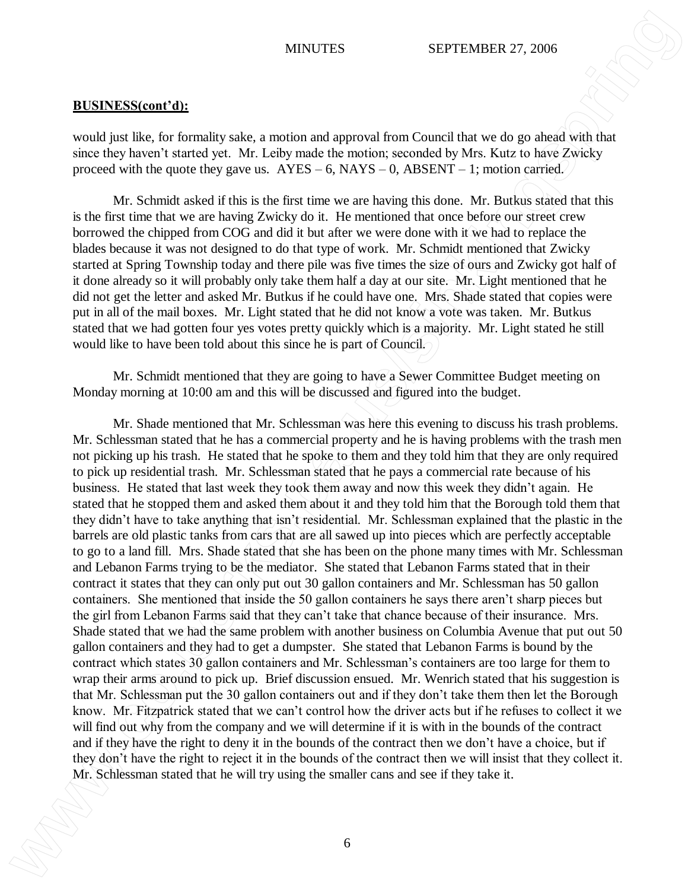would just like, for formality sake, a motion and approval from Council that we do go ahead with that since they haven't started yet. Mr. Leiby made the motion; seconded by Mrs. Kutz to have Zwicky proceed with the quote they gave us.  $AYES - 6$ ,  $NAYS - 0$ ,  $ABSENT - 1$ ; motion carried.

Mr. Schmidt asked if this is the first time we are having this done. Mr. Butkus stated that this is the first time that we are having Zwicky do it. He mentioned that once before our street crew borrowed the chipped from COG and did it but after we were done with it we had to replace the blades because it was not designed to do that type of work. Mr. Schmidt mentioned that Zwicky started at Spring Township today and there pile was five times the size of ours and Zwicky got half of it done already so it will probably only take them half a day at our site. Mr. Light mentioned that he did not get the letter and asked Mr. Butkus if he could have one. Mrs. Shade stated that copies were put in all of the mail boxes. Mr. Light stated that he did not know a vote was taken. Mr. Butkus stated that we had gotten four yes votes pretty quickly which is a majority. Mr. Light stated he still would like to have been told about this since he is part of Council.

Mr. Schmidt mentioned that they are going to have a Sewer Committee Budget meeting on Monday morning at 10:00 am and this will be discussed and figured into the budget.

Mr. Shade mentioned that Mr. Schlessman was here this evening to discuss his trash problems. Mr. Schlessman stated that he has a commercial property and he is having problems with the trash men not picking up his trash. He stated that he spoke to them and they told him that they are only required to pick up residential trash. Mr. Schlessman stated that he pays a commercial rate because of his business. He stated that last week they took them away and now this week they didn't again. He stated that he stopped them and asked them about it and they told him that the Borough told them that they didn't have to take anything that isn't residential. Mr. Schlessman explained that the plastic in the barrels are old plastic tanks from cars that are all sawed up into pieces which are perfectly acceptable to go to a land fill. Mrs. Shade stated that she has been on the phone many times with Mr. Schlessman and Lebanon Farms trying to be the mediator. She stated that Lebanon Farms stated that in their contract it states that they can only put out 30 gallon containers and Mr. Schlessman has 50 gallon containers. She mentioned that inside the 50 gallon containers he says there aren't sharp pieces but the girl from Lebanon Farms said that they can't take that chance because of their insurance. Mrs. Shade stated that we had the same problem with another business on Columbia Avenue that put out 50 gallon containers and they had to get a dumpster. She stated that Lebanon Farms is bound by the contract which states 30 gallon containers and Mr. Schlessman's containers are too large for them to wrap their arms around to pick up. Brief discussion ensued. Mr. Wenrich stated that his suggestion is that Mr. Schlessman put the 30 gallon containers out and if they don't take them then let the Borough know. Mr. Fitzpatrick stated that we can't control how the driver acts but if he refuses to collect it we will find out why from the company and we will determine if it is with in the bounds of the contract and if they have the right to deny it in the bounds of the contract then we don't have a choice, but if they don't have the right to reject it in the bounds of the contract then we will insist that they collect it. MYSUTES SFFENARER 27, 2006<br>
MRISS TSCHLESS THE UNIT TRANSFER CONTINUES TO A CONTINUES TO A CONTINUES TO A CONTINUES TO A CONTINUES TO A CONTINUES TO A CONTINUES TO A CONTINUES TO A CONTINUES TO A CONTINUES TO A CONTINUES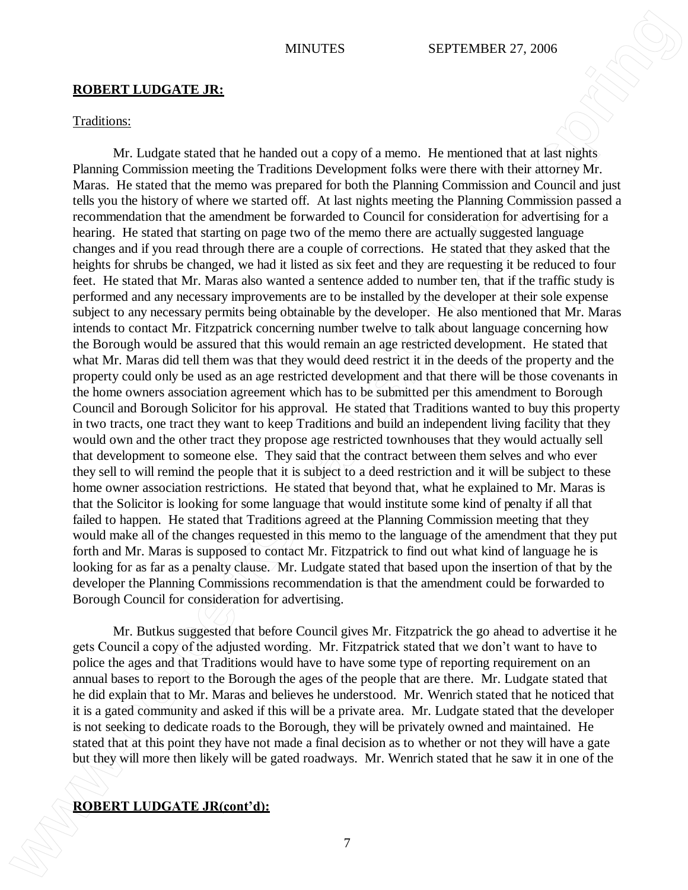#### **ROBERT LUDGATE JR:**

#### Traditions:

Mr. Ludgate stated that he handed out a copy of a memo. He mentioned that at last nights Planning Commission meeting the Traditions Development folks were there with their attorney Mr. Maras. He stated that the memo was prepared for both the Planning Commission and Council and just tells you the history of where we started off. At last nights meeting the Planning Commission passed a recommendation that the amendment be forwarded to Council for consideration for advertising for a hearing. He stated that starting on page two of the memo there are actually suggested language changes and if you read through there are a couple of corrections. He stated that they asked that the heights for shrubs be changed, we had it listed as six feet and they are requesting it be reduced to four feet. He stated that Mr. Maras also wanted a sentence added to number ten, that if the traffic study is performed and any necessary improvements are to be installed by the developer at their sole expense subject to any necessary permits being obtainable by the developer. He also mentioned that Mr. Maras intends to contact Mr. Fitzpatrick concerning number twelve to talk about language concerning how the Borough would be assured that this would remain an age restricted development. He stated that what Mr. Maras did tell them was that they would deed restrict it in the deeds of the property and the property could only be used as an age restricted development and that there will be those covenants in the home owners association agreement which has to be submitted per this amendment to Borough Council and Borough Solicitor for his approval. He stated that Traditions wanted to buy this property in two tracts, one tract they want to keep Traditions and build an independent living facility that they would own and the other tract they propose age restricted townhouses that they would actually sell that development to someone else. They said that the contract between them selves and who ever they sell to will remind the people that it is subject to a deed restriction and it will be subject to these home owner association restrictions. He stated that beyond that, what he explained to Mr. Maras is that the Solicitor is looking for some language that would institute some kind of penalty if all that failed to happen. He stated that Traditions agreed at the Planning Commission meeting that they would make all of the changes requested in this memo to the language of the amendment that they put forth and Mr. Maras is supposed to contact Mr. Fitzpatrick to find out what kind of language he is looking for as far as a penalty clause. Mr. Ludgate stated that based upon the insertion of that by the developer the Planning Commissions recommendation is that the amendment could be forwarded to Borough Council for consideration for advertising. **ROBERT LUDGATE JR:**<br>**ROBERT LUDGATE JR:**<br>**ROBERT LUDGATE JR:**<br>**ROBERT LUDGATE JR:**<br>**MECONOMIST CONTEXT CONTEXT CONTEXT CONTEXT CONTEXT CONTEXT CONTEXT CONTEXT CONTEXT CONTEXT CONTEXT CONTEXT CONTEXT CONTEXT CONTEXT CONTEX** 

Mr. Butkus suggested that before Council gives Mr. Fitzpatrick the go ahead to advertise it he gets Council a copy of the adjusted wording. Mr. Fitzpatrick stated that we don't want to have to police the ages and that Traditions would have to have some type of reporting requirement on an annual bases to report to the Borough the ages of the people that are there. Mr. Ludgate stated that he did explain that to Mr. Maras and believes he understood. Mr. Wenrich stated that he noticed that it is a gated community and asked if this will be a private area. Mr. Ludgate stated that the developer is not seeking to dedicate roads to the Borough, they will be privately owned and maintained. He stated that at this point they have not made a final decision as to whether or not they will have a gate but they will more then likely will be gated roadways. Mr. Wenrich stated that he saw it in one of the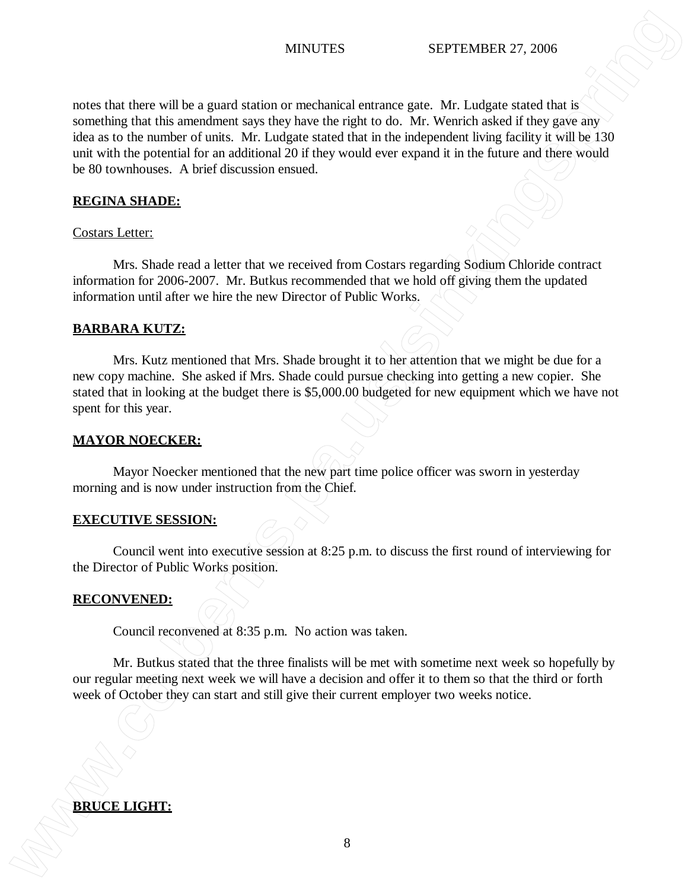notes that there will be a guard station or mechanical entrance gate. Mr. Ludgate stated that is something that this amendment says they have the right to do. Mr. Wenrich asked if they gave any idea as to the number of units. Mr. Ludgate stated that in the independent living facility it will be 130 unit with the potential for an additional 20 if they would ever expand it in the future and there would be 80 townhouses. A brief discussion ensued. **BRUCE AND ARREL STATES** SPECIAL SURFACE CONDUCTES<br> **BRUCE AND ARREL STATES** SURFACE CONDUCT SURFACE CONDUCTS AND CONDUCTS ON THE SURFACE CONDUCTS ON THE SURFACE CONDUCTS ON THE SURFACE CONDUCTS ON THE SURFACE OF SURFACE C

## **REGINA SHADE:**

### Costars Letter:

Mrs. Shade read a letter that we received from Costars regarding Sodium Chloride contract information for 2006-2007. Mr. Butkus recommended that we hold off giving them the updated information until after we hire the new Director of Public Works.

### **BARBARA KUTZ:**

Mrs. Kutz mentioned that Mrs. Shade brought it to her attention that we might be due for a new copy machine. She asked if Mrs. Shade could pursue checking into getting a new copier. She stated that in looking at the budget there is \$5,000.00 budgeted for new equipment which we have not spent for this year.

### **MAYOR NOECKER:**

Mayor Noecker mentioned that the new part time police officer was sworn in yesterday morning and is now under instruction from the Chief.

### **EXECUTIVE SESSION:**

Council went into executive session at 8:25 p.m. to discuss the first round of interviewing for the Director of Public Works position.

#### **RECONVENED:**

Council reconvened at 8:35 p.m. No action was taken.

Mr. Butkus stated that the three finalists will be met with sometime next week so hopefully by our regular meeting next week we will have a decision and offer it to them so that the third or forth week of October they can start and still give their current employer two weeks notice.